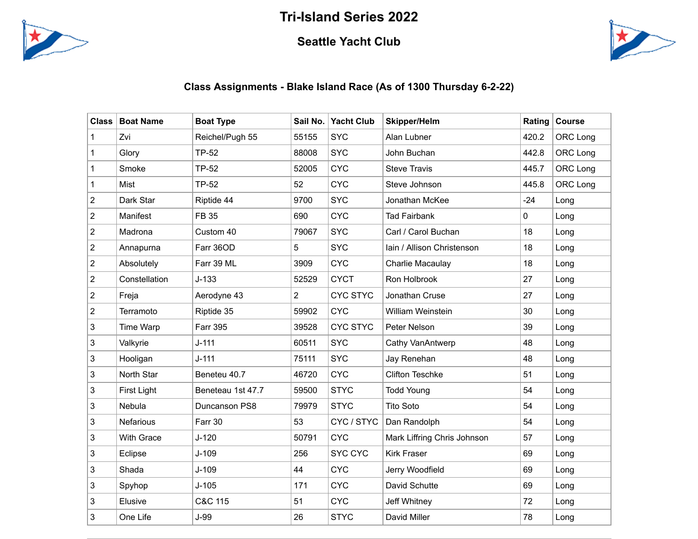## **Tri-Island Series 2022**



## **Seattle Yacht Club**



## **Class Assignments - Blake Island Race (As of 1300 Thursday 6-2-22)**

| <b>Class</b>            | <b>Boat Name</b>  | <b>Boat Type</b>  | Sail No.       | <b>Yacht Club</b> | <b>Skipper/Helm</b>         | Rating | <b>Course</b> |
|-------------------------|-------------------|-------------------|----------------|-------------------|-----------------------------|--------|---------------|
| 1                       | Zvi               | Reichel/Pugh 55   | 55155          | <b>SYC</b>        | Alan Lubner                 | 420.2  | ORC Long      |
| $\mathbf 1$             | Glory             | TP-52             | 88008          | <b>SYC</b>        | John Buchan                 | 442.8  | ORC Long      |
| 1                       | Smoke             | <b>TP-52</b>      | 52005          | <b>CYC</b>        | <b>Steve Travis</b>         | 445.7  | ORC Long      |
| 1                       | Mist              | <b>TP-52</b>      | 52             | <b>CYC</b>        | Steve Johnson               | 445.8  | ORC Long      |
| $\overline{\mathbf{c}}$ | Dark Star         | Riptide 44        | 9700           | <b>SYC</b>        | Jonathan McKee              | $-24$  | Long          |
| $\overline{c}$          | Manifest          | FB 35             | 690            | <b>CYC</b>        | <b>Tad Fairbank</b>         | 0      | Long          |
| $\overline{c}$          | Madrona           | Custom 40         | 79067          | <b>SYC</b>        | Carl / Carol Buchan         | 18     | Long          |
| $\overline{c}$          | Annapurna         | Farr 36OD         | 5              | <b>SYC</b>        | Iain / Allison Christenson  | 18     | Long          |
| $\sqrt{2}$              | Absolutely        | Farr 39 ML        | 3909           | <b>CYC</b>        | Charlie Macaulay            | 18     | Long          |
| $\overline{c}$          | Constellation     | $J-133$           | 52529          | <b>CYCT</b>       | Ron Holbrook                | 27     | Long          |
| $\overline{c}$          | Freja             | Aerodyne 43       | $\overline{2}$ | <b>CYC STYC</b>   | Jonathan Cruse              | 27     | Long          |
| $\overline{c}$          | Terramoto         | Riptide 35        | 59902          | <b>CYC</b>        | William Weinstein           | 30     | Long          |
| 3                       | Time Warp         | <b>Farr 395</b>   | 39528          | <b>CYC STYC</b>   | Peter Nelson                | 39     | Long          |
| 3                       | Valkyrie          | $J - 111$         | 60511          | <b>SYC</b>        | Cathy VanAntwerp            | 48     | Long          |
| 3                       | Hooligan          | $J - 111$         | 75111          | <b>SYC</b>        | Jay Renehan                 | 48     | Long          |
| 3                       | North Star        | Beneteu 40.7      | 46720          | <b>CYC</b>        | <b>Clifton Teschke</b>      | 51     | Long          |
| 3                       | First Light       | Beneteau 1st 47.7 | 59500          | <b>STYC</b>       | <b>Todd Young</b>           | 54     | Long          |
| 3                       | Nebula            | Duncanson PS8     | 79979          | <b>STYC</b>       | <b>Tito Soto</b>            | 54     | Long          |
| 3                       | <b>Nefarious</b>  | Farr 30           | 53             | CYC / STYC        | Dan Randolph                | 54     | Long          |
| 3                       | <b>With Grace</b> | $J-120$           | 50791          | <b>CYC</b>        | Mark Liffring Chris Johnson | 57     | Long          |
| 3                       | Eclipse           | $J-109$           | 256            | <b>SYC CYC</b>    | <b>Kirk Fraser</b>          | 69     | Long          |
| 3                       | Shada             | $J-109$           | 44             | <b>CYC</b>        | Jerry Woodfield             | 69     | Long          |
| 3                       | Spyhop            | $J-105$           | 171            | <b>CYC</b>        | David Schutte               | 69     | Long          |
| 3                       | Elusive           | C&C 115           | 51             | <b>CYC</b>        | Jeff Whitney                | 72     | Long          |
| 3                       | One Life          | $J-99$            | 26             | <b>STYC</b>       | David Miller                | 78     | Long          |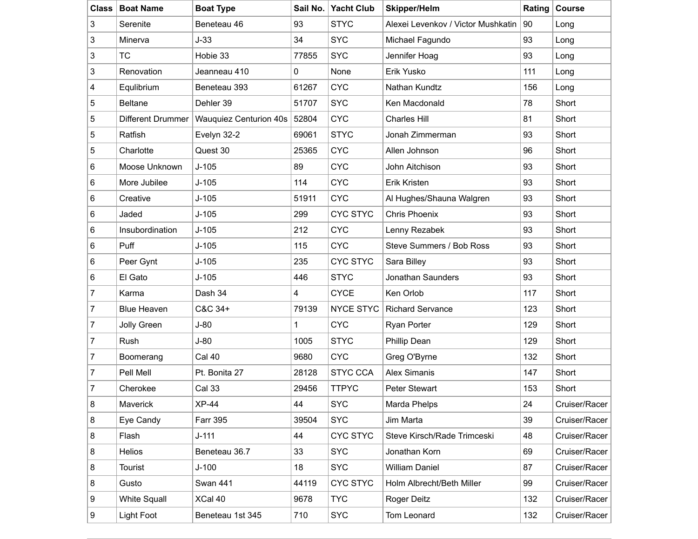| <b>Class</b>   | <b>Boat Name</b>    | <b>Boat Type</b>              | Sail No.    | <b>Yacht Club</b> | <b>Skipper/Helm</b>                | Rating | Course        |
|----------------|---------------------|-------------------------------|-------------|-------------------|------------------------------------|--------|---------------|
| 3              | Serenite            | Beneteau 46                   | 93          | <b>STYC</b>       | Alexei Levenkov / Victor Mushkatin | 90     | Long          |
| 3              | Minerva             | $J-33$                        | 34          | <b>SYC</b>        | Michael Fagundo                    | 93     | Long          |
| 3              | <b>TC</b>           | Hobie 33                      | 77855       | <b>SYC</b>        | Jennifer Hoag                      | 93     | Long          |
| 3              | Renovation          | Jeanneau 410                  | 0           | None              | Erik Yusko                         | 111    | Long          |
| 4              | Equlibrium          | Beneteau 393                  | 61267       | <b>CYC</b>        | Nathan Kundtz                      | 156    | Long          |
| 5              | <b>Beltane</b>      | Dehler 39                     | 51707       | <b>SYC</b>        | Ken Macdonald                      | 78     | Short         |
| 5              | Different Drummer   | <b>Wauquiez Centurion 40s</b> | 52804       | <b>CYC</b>        | <b>Charles Hill</b>                | 81     | Short         |
| 5              | Ratfish             | Evelyn 32-2                   | 69061       | <b>STYC</b>       | Jonah Zimmerman                    | 93     | Short         |
| 5              | Charlotte           | Quest 30                      | 25365       | <b>CYC</b>        | Allen Johnson                      | 96     | Short         |
| 6              | Moose Unknown       | $J-105$                       | 89          | <b>CYC</b>        | John Aitchison                     | 93     | Short         |
| 6              | More Jubilee        | $J-105$                       | 114         | <b>CYC</b>        | Erik Kristen                       | 93     | Short         |
| 6              | Creative            | $J-105$                       | 51911       | <b>CYC</b>        | Al Hughes/Shauna Walgren           | 93     | Short         |
| 6              | Jaded               | $J-105$                       | 299         | <b>CYC STYC</b>   | <b>Chris Phoenix</b>               | 93     | Short         |
| 6              | Insubordination     | $J-105$                       | 212         | <b>CYC</b>        | Lenny Rezabek                      | 93     | Short         |
| 6              | Puff                | $J-105$                       | 115         | <b>CYC</b>        | Steve Summers / Bob Ross           | 93     | Short         |
| 6              | Peer Gynt           | $J-105$                       | 235         | <b>CYC STYC</b>   | Sara Billey                        | 93     | Short         |
| 6              | El Gato             | $J-105$                       | 446         | <b>STYC</b>       | Jonathan Saunders                  | 93     | Short         |
| 7              | Karma               | Dash 34                       | 4           | <b>CYCE</b>       | Ken Orlob                          | 117    | Short         |
| $\overline{7}$ | <b>Blue Heaven</b>  | C&C 34+                       | 79139       | <b>NYCE STYC</b>  | <b>Richard Servance</b>            | 123    | Short         |
| $\overline{7}$ | Jolly Green         | $J-80$                        | $\mathbf 1$ | <b>CYC</b>        | <b>Ryan Porter</b>                 | 129    | Short         |
| $\overline{7}$ | Rush                | $J-80$                        | 1005        | <b>STYC</b>       | Phillip Dean                       | 129    | Short         |
| 7              | Boomerang           | Cal 40                        | 9680        | <b>CYC</b>        | Greg O'Byrne                       | 132    | Short         |
| 7              | Pell Mell           | Pt. Bonita 27                 | 28128       | <b>STYC CCA</b>   | <b>Alex Simanis</b>                | 147    | Short         |
| $\overline{7}$ | Cherokee            | <b>Cal 33</b>                 | 29456       | <b>TTPYC</b>      | Peter Stewart                      | 153    | Short         |
| 8              | Maverick            | <b>XP-44</b>                  | 44          | <b>SYC</b>        | Marda Phelps                       | 24     | Cruiser/Racer |
| 8              | Eye Candy           | <b>Farr 395</b>               | 39504       | <b>SYC</b>        | Jim Marta                          | 39     | Cruiser/Racer |
| 8              | Flash               | $J-111$                       | 44          | <b>CYC STYC</b>   | Steve Kirsch/Rade Trimceski        | 48     | Cruiser/Racer |
| 8              | Helios              | Beneteau 36.7                 | 33          | <b>SYC</b>        | Jonathan Korn                      | 69     | Cruiser/Racer |
| 8              | Tourist             | $J-100$                       | 18          | <b>SYC</b>        | <b>William Daniel</b>              | 87     | Cruiser/Racer |
| 8              | Gusto               | Swan 441                      | 44119       | <b>CYC STYC</b>   | Holm Albrecht/Beth Miller          | 99     | Cruiser/Racer |
| 9              | <b>White Squall</b> | XCal 40                       | 9678        | <b>TYC</b>        | Roger Deitz                        | 132    | Cruiser/Racer |
| 9              | Light Foot          | Beneteau 1st 345              | 710         | <b>SYC</b>        | Tom Leonard                        | 132    | Cruiser/Racer |